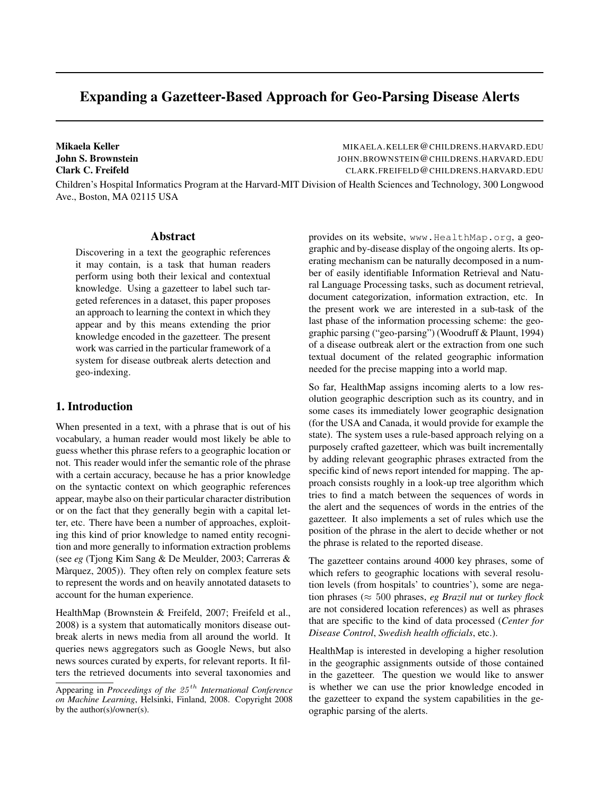# Expanding a Gazetteer-Based Approach for Geo-Parsing Disease Alerts

Mikaela Keller Music Children Mikaela.KELLER @CHILDRENS.HARVARD.EDU John S. Brownstein JOHN.BROWNSTEIN@CHILDRENS.HARVARD.EDU Clark C. Freifeld CLARK.FREIFELD@CHILDRENS.HARVARD.EDU

Children's Hospital Informatics Program at the Harvard-MIT Division of Health Sciences and Technology, 300 Longwood Ave., Boston, MA 02115 USA

## Abstract

Discovering in a text the geographic references it may contain, is a task that human readers perform using both their lexical and contextual knowledge. Using a gazetteer to label such targeted references in a dataset, this paper proposes an approach to learning the context in which they appear and by this means extending the prior knowledge encoded in the gazetteer. The present work was carried in the particular framework of a system for disease outbreak alerts detection and geo-indexing.

#### 1. Introduction

When presented in a text, with a phrase that is out of his vocabulary, a human reader would most likely be able to guess whether this phrase refers to a geographic location or not. This reader would infer the semantic role of the phrase with a certain accuracy, because he has a prior knowledge on the syntactic context on which geographic references appear, maybe also on their particular character distribution or on the fact that they generally begin with a capital letter, etc. There have been a number of approaches, exploiting this kind of prior knowledge to named entity recognition and more generally to information extraction problems (see *eg* (Tjong Kim Sang & De Meulder, 2003; Carreras & Màrquez, 2005)). They often rely on complex feature sets to represent the words and on heavily annotated datasets to account for the human experience.

HealthMap (Brownstein & Freifeld, 2007; Freifeld et al., 2008) is a system that automatically monitors disease outbreak alerts in news media from all around the world. It queries news aggregators such as Google News, but also news sources curated by experts, for relevant reports. It filters the retrieved documents into several taxonomies and provides on its website, www.HealthMap.org, a geographic and by-disease display of the ongoing alerts. Its operating mechanism can be naturally decomposed in a number of easily identifiable Information Retrieval and Natural Language Processing tasks, such as document retrieval, document categorization, information extraction, etc. In the present work we are interested in a sub-task of the last phase of the information processing scheme: the geographic parsing ("geo-parsing") (Woodruff & Plaunt, 1994) of a disease outbreak alert or the extraction from one such textual document of the related geographic information needed for the precise mapping into a world map.

So far, HealthMap assigns incoming alerts to a low resolution geographic description such as its country, and in some cases its immediately lower geographic designation (for the USA and Canada, it would provide for example the state). The system uses a rule-based approach relying on a purposely crafted gazetteer, which was built incrementally by adding relevant geographic phrases extracted from the specific kind of news report intended for mapping. The approach consists roughly in a look-up tree algorithm which tries to find a match between the sequences of words in the alert and the sequences of words in the entries of the gazetteer. It also implements a set of rules which use the position of the phrase in the alert to decide whether or not the phrase is related to the reported disease.

The gazetteer contains around 4000 key phrases, some of which refers to geographic locations with several resolution levels (from hospitals' to countries'), some are negation phrases (≈ 500 phrases, *eg Brazil nut* or *turkey flock* are not considered location references) as well as phrases that are specific to the kind of data processed (*Center for Disease Control*, *Swedish health officials*, etc.).

HealthMap is interested in developing a higher resolution in the geographic assignments outside of those contained in the gazetteer. The question we would like to answer is whether we can use the prior knowledge encoded in the gazetteer to expand the system capabilities in the geographic parsing of the alerts.

Appearing in *Proceedings of the 25<sup>th</sup> International Conference on Machine Learning*, Helsinki, Finland, 2008. Copyright 2008 by the author(s)/owner(s).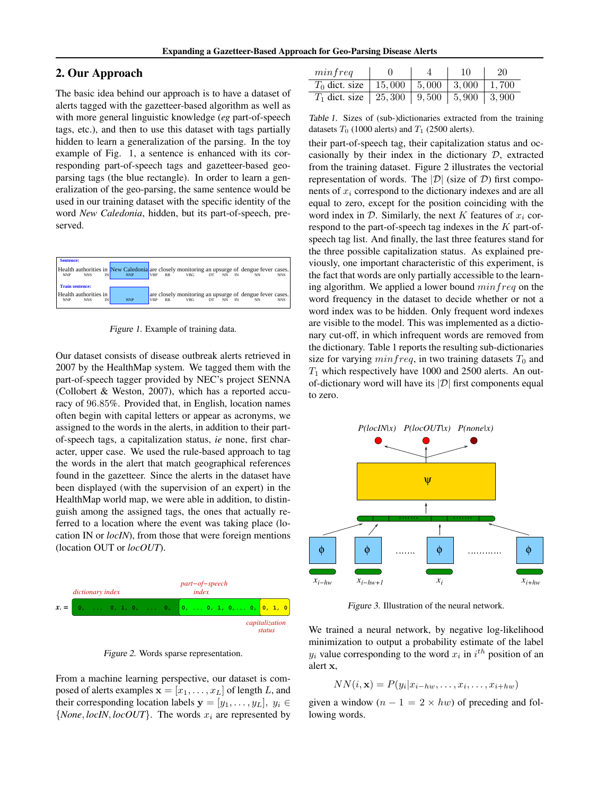## 2. Our Approach

The basic idea behind our approach is to have a dataset of alerts tagged with the gazetteer-based algorithm as well as with more general linguistic knowledge (*eg* part-of-speech tags, etc.), and then to use this dataset with tags partially hidden to learn a generalization of the parsing. In the toy example of Fig. 1, a sentence is enhanced with its corresponding part-of-speech tags and gazetteer-based geoparsing tags (the blue rectangle). In order to learn a generalization of the geo-parsing, the same sentence would be used in our training dataset with the specific identity of the word *New Caledonia*, hidden, but its part-of-speech, preserved.

| <b>NNP</b> | <b>NNS</b> |                                            | <b>NNP</b>                  |            | $_{RB}$   | <b>VBG</b> |    |     |                             | <b>NNS</b>                                                                                                                                               |
|------------|------------|--------------------------------------------|-----------------------------|------------|-----------|------------|----|-----|-----------------------------|----------------------------------------------------------------------------------------------------------------------------------------------------------|
|            |            |                                            |                             |            |           |            |    |     |                             |                                                                                                                                                          |
| <b>NNP</b> | <b>NNS</b> | IN                                         | <b>NNP</b>                  | <b>VRP</b> | <b>RB</b> | <b>VBG</b> | DT | NN. | NN                          | <b>NNS</b>                                                                                                                                               |
|            |            | <b>Sentence:</b><br><b>Train sentence:</b> | IN<br>Health authorities in |            |           | <b>VRP</b> |    |     | $DT$ $NN$ $IN$<br><b>IN</b> | Health authorities in New Caledonia are closely monitoring an upsurge of dengue fever cases.<br>are closely monitoring an upsurge of dengue fever cases. |

Figure 1. Example of training data.

Our dataset consists of disease outbreak alerts retrieved in 2007 by the HealthMap system. We tagged them with the part-of-speech tagger provided by NEC's project SENNA (Collobert & Weston, 2007), which has a reported accuracy of 96.85%. Provided that, in English, location names often begin with capital letters or appear as acronyms, we assigned to the words in the alerts, in addition to their partof-speech tags, a capitalization status, *ie* none, first character, upper case. We used the rule-based approach to tag the words in the alert that match geographical references found in the gazetteer. Since the alerts in the dataset have been displayed (with the supervision of an expert) in the HealthMap world map, we were able in addition, to distinguish among the assigned tags, the ones that actually referred to a location where the event was taking place (location IN or *locIN*), from those that were foreign mentions (location OUT or *locOUT*).



Figure 2. Words sparse representation.

From a machine learning perspective, our dataset is composed of alerts examples  $\mathbf{x} = [x_1, \dots, x_L]$  of length L, and their corresponding location labels  $y = [y_1, \ldots, y_L], y_i \in$  ${None, locIN, locOUT}$ . The words  $x_i$  are represented by

| minfreq                                           |  | 10 | 20 |
|---------------------------------------------------|--|----|----|
| $T_0$ dict. size   15,000   5,000   3,000   1,700 |  |    |    |
| $T_1$ dict. size   25,300   9,500   5,900   3,900 |  |    |    |

Table 1. Sizes of (sub-)dictionaries extracted from the training datasets  $T_0$  (1000 alerts) and  $T_1$  (2500 alerts).

their part-of-speech tag, their capitalization status and occasionally by their index in the dictionary  $D$ , extracted from the training dataset. Figure 2 illustrates the vectorial representation of words. The  $|\mathcal{D}|$  (size of  $\mathcal{D}$ ) first components of  $x_i$  correspond to the dictionary indexes and are all equal to zero, except for the position coinciding with the word index in  $D$ . Similarly, the next K features of  $x_i$  correspond to the part-of-speech tag indexes in the  $K$  part-ofspeech tag list. And finally, the last three features stand for the three possible capitalization status. As explained previously, one important characteristic of this experiment, is the fact that words are only partially accessible to the learning algorithm. We applied a lower bound  $minfreq$  on the word frequency in the dataset to decide whether or not a word index was to be hidden. Only frequent word indexes are visible to the model. This was implemented as a dictionary cut-off, in which infrequent words are removed from the dictionary. Table 1 reports the resulting sub-dictionaries size for varying  $minfreq$ , in two training datasets  $T_0$  and  $T_1$  which respectively have 1000 and 2500 alerts. An outof-dictionary word will have its  $|\mathcal{D}|$  first components equal to zero.



Figure 3. Illustration of the neural network.

We trained a neural network, by negative log-likelihood minimization to output a probability estimate of the label  $y_i$  value corresponding to the word  $x_i$  in  $i^{th}$  position of an alert x,

$$
NN(i, \mathbf{x}) = P(y_i | x_{i-hw}, \dots, x_i, \dots, x_{i+hw})
$$

given a window  $(n - 1 = 2 \times hw)$  of preceding and following words.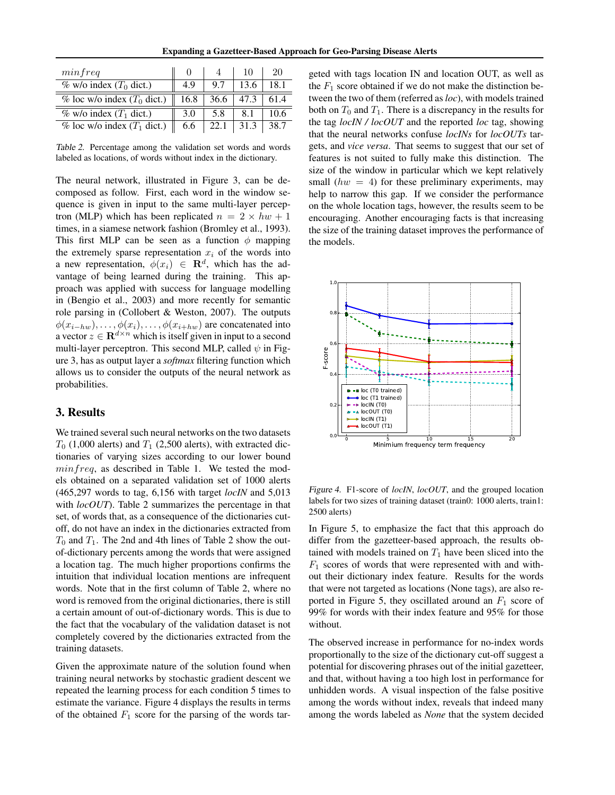| minfreq                         |      |      |      | 20   |
|---------------------------------|------|------|------|------|
| % w/o index $(T_0$ dict.)       | 4.9  | 9.7  | 13.6 | 18.1 |
| % loc w/o index $(T_0$ dict.)   | 16.8 | 36.6 | 47.3 | 61.4 |
| $\%$ w/o index $(T_1$ dict.)    | 3.0  | 5.8  |      | 10.6 |
| $%$ loc w/o index $(T_1$ dict.) | 6.6  |      |      | 38.7 |

Table 2. Percentage among the validation set words and words labeled as locations, of words without index in the dictionary.

The neural network, illustrated in Figure 3, can be decomposed as follow. First, each word in the window sequence is given in input to the same multi-layer perceptron (MLP) which has been replicated  $n = 2 \times hw + 1$ times, in a siamese network fashion (Bromley et al., 1993). This first MLP can be seen as a function  $\phi$  mapping the extremely sparse representation  $x_i$  of the words into a new representation,  $\phi(x_i) \in \mathbb{R}^d$ , which has the advantage of being learned during the training. This approach was applied with success for language modelling in (Bengio et al., 2003) and more recently for semantic role parsing in (Collobert & Weston, 2007). The outputs  $\phi(x_{i-hw}), \ldots, \phi(x_i), \ldots, \phi(x_{i+hw})$  are concatenated into a vector  $z \in \mathbf{R}^{d \times n}$  which is itself given in input to a second multi-layer perceptron. This second MLP, called  $\psi$  in Figure 3, has as output layer a *softmax* filtering function which allows us to consider the outputs of the neural network as probabilities.

### 3. Results

We trained several such neural networks on the two datasets  $T_0$  (1,000 alerts) and  $T_1$  (2,500 alerts), with extracted dictionaries of varying sizes according to our lower bound  $minfreq$ , as described in Table 1. We tested the models obtained on a separated validation set of 1000 alerts (465,297 words to tag, 6,156 with target *locIN* and 5,013 with *locOUT*). Table 2 summarizes the percentage in that set, of words that, as a consequence of the dictionaries cutoff, do not have an index in the dictionaries extracted from  $T_0$  and  $T_1$ . The 2nd and 4th lines of Table 2 show the outof-dictionary percents among the words that were assigned a location tag. The much higher proportions confirms the intuition that individual location mentions are infrequent words. Note that in the first column of Table 2, where no word is removed from the original dictionaries, there is still a certain amount of out-of-dictionary words. This is due to the fact that the vocabulary of the validation dataset is not completely covered by the dictionaries extracted from the training datasets.

Given the approximate nature of the solution found when training neural networks by stochastic gradient descent we repeated the learning process for each condition 5 times to estimate the variance. Figure 4 displays the results in terms of the obtained  $F_1$  score for the parsing of the words tar-

geted with tags location IN and location OUT, as well as the  $F_1$  score obtained if we do not make the distinction between the two of them (referred as *loc*), with models trained both on  $T_0$  and  $T_1$ . There is a discrepancy in the results for the tag *locIN / locOUT* and the reported *loc* tag, showing that the neural networks confuse *locINs* for *locOUTs* targets, and *vice versa*. That seems to suggest that our set of features is not suited to fully make this distinction. The size of the window in particular which we kept relatively small  $(hw = 4)$  for these preliminary experiments, may help to narrow this gap. If we consider the performance on the whole location tags, however, the results seem to be encouraging. Another encouraging facts is that increasing the size of the training dataset improves the performance of the models.



Figure 4. F1-score of *locIN*, *locOUT*, and the grouped location labels for two sizes of training dataset (train0: 1000 alerts, train1: 2500 alerts)

In Figure 5, to emphasize the fact that this approach do differ from the gazetteer-based approach, the results obtained with models trained on  $T_1$  have been sliced into the  $F_1$  scores of words that were represented with and without their dictionary index feature. Results for the words that were not targeted as locations (None tags), are also reported in Figure 5, they oscillated around an  $F_1$  score of 99% for words with their index feature and 95% for those without.

The observed increase in performance for no-index words proportionally to the size of the dictionary cut-off suggest a potential for discovering phrases out of the initial gazetteer, and that, without having a too high lost in performance for unhidden words. A visual inspection of the false positive among the words without index, reveals that indeed many among the words labeled as *None* that the system decided